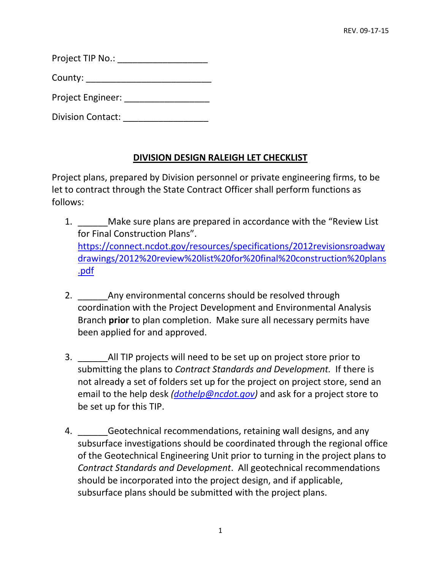| Project TIP No.: |  |
|------------------|--|
|                  |  |

County: \_\_\_\_\_\_\_\_\_\_\_\_\_\_\_\_\_\_\_\_\_\_\_\_\_

Project Engineer:  $\blacksquare$ 

Division Contact: **with the Contact**:

## **DIVISION DESIGN RALEIGH LET CHECKLIST**

Project plans, prepared by Division personnel or private engineering firms, to be let to contract through the State Contract Officer shall perform functions as follows:

- 1. \_\_\_\_\_\_Make sure plans are prepared in accordance with the "Review List for Final Construction Plans". [https://connect.ncdot.gov/resources/specifications/2012revisionsroadway](https://connect.ncdot.gov/resources/Specifications/2012RevisionsRoadwayDrawings/2012%20Review%20List%20for%20Final%20Construction%20Plans.pdf) [drawings/2012%20review%20list%20for%20final%20construction%20plans](https://connect.ncdot.gov/resources/Specifications/2012RevisionsRoadwayDrawings/2012%20Review%20List%20for%20Final%20Construction%20Plans.pdf) [.pdf](https://connect.ncdot.gov/resources/Specifications/2012RevisionsRoadwayDrawings/2012%20Review%20List%20for%20Final%20Construction%20Plans.pdf)
- 2. Any environmental concerns should be resolved through coordination with the Project Development and Environmental Analysis Branch **prior** to plan completion. Make sure all necessary permits have been applied for and approved.
- 3. \_\_\_\_\_\_All TIP projects will need to be set up on project store prior to submitting the plans to *Contract Standards and Development.* If there is not already a set of folders set up for the project on project store, send an email to the help desk *[\(dothelp@ncdot.gov\)](mailto:DOTHELP@NCDOT.GOV)* and ask for a project store to be set up for this TIP.
- 4. **Example 20 Geotechnical recommendations, retaining wall designs, and any** subsurface investigations should be coordinated through the regional office of the Geotechnical Engineering Unit prior to turning in the project plans to *Contract Standards and Development*. All geotechnical recommendations should be incorporated into the project design, and if applicable, subsurface plans should be submitted with the project plans.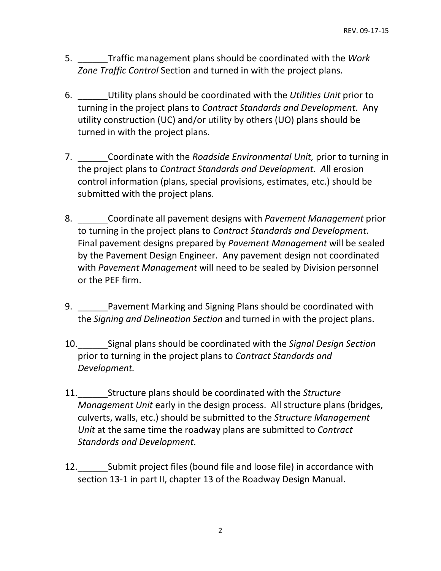- 5. \_\_\_\_\_\_Traffic management plans should be coordinated with the *Work Zone Traffic Control* Section and turned in with the project plans.
- 6. \_\_\_\_\_\_Utility plans should be coordinated with the *Utilities Unit* prior to turning in the project plans to *Contract Standards and Development*. Any utility construction (UC) and/or utility by others (UO) plans should be turned in with the project plans.
- 7. \_\_\_\_\_\_Coordinate with the *Roadside Environmental Unit,* prior to turning in the project plans to *Contract Standards and Development. A*ll erosion control information (plans, special provisions, estimates, etc.) should be submitted with the project plans.
- 8. \_\_\_\_\_\_Coordinate all pavement designs with *Pavement Management* prior to turning in the project plans to *Contract Standards and Development*. Final pavement designs prepared by *Pavement Management* will be sealed by the Pavement Design Engineer. Any pavement design not coordinated with *Pavement Management* will need to be sealed by Division personnel or the PEF firm.
- 9. Pavement Marking and Signing Plans should be coordinated with the *Signing and Delineation Section* and turned in with the project plans.
- 10.\_\_\_\_\_\_Signal plans should be coordinated with the *Signal Design Section* prior to turning in the project plans to *Contract Standards and Development.*
- 11.\_\_\_\_\_\_Structure plans should be coordinated with the *Structure Management Unit* early in the design process. All structure plans (bridges, culverts, walls, etc.) should be submitted to the *Structure Management Unit* at the same time the roadway plans are submitted to *Contract Standards and Development*.
- 12.\_\_\_\_\_\_Submit project files (bound file and loose file) in accordance with section 13-1 in part II, chapter 13 of the Roadway Design Manual.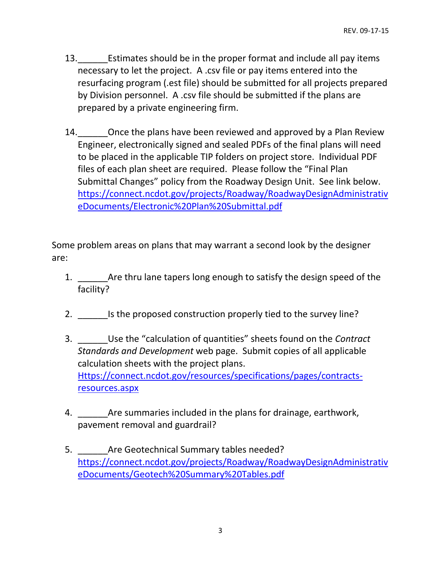- 13. Estimates should be in the proper format and include all pay items necessary to let the project. A .csv file or pay items entered into the resurfacing program (.est file) should be submitted for all projects prepared by Division personnel. A .csv file should be submitted if the plans are prepared by a private engineering firm.
- 14. Once the plans have been reviewed and approved by a Plan Review Engineer, electronically signed and sealed PDFs of the final plans will need to be placed in the applicable TIP folders on project store. Individual PDF files of each plan sheet are required. Please follow the "Final Plan Submittal Changes" policy from the Roadway Design Unit. See link below. [https://connect.ncdot.gov/projects/Roadway/RoadwayDesignAdministrativ](https://connect.ncdot.gov/projects/Roadway/RoadwayDesignAdministrativeDocuments/Electronic%20Plan%20Submittal.pdf) [eDocuments/Electronic%20Plan%20Submittal.pdf](https://connect.ncdot.gov/projects/Roadway/RoadwayDesignAdministrativeDocuments/Electronic%20Plan%20Submittal.pdf)

Some problem areas on plans that may warrant a second look by the designer are:

- 1. \_\_\_\_\_\_Are thru lane tapers long enough to satisfy the design speed of the facility?
- 2. Is the proposed construction properly tied to the survey line?
- 3. \_\_\_\_\_\_Use the "calculation of quantities" sheets found on the *Contract Standards and Development* web page. Submit copies of all applicable calculation sheets with the project plans. [Https://connect.ncdot.gov/resources/specifications/pages/contracts](https://connect.ncdot.gov/resources/Specifications/Pages/Contracts-Resources.aspx)[resources.aspx](https://connect.ncdot.gov/resources/Specifications/Pages/Contracts-Resources.aspx)
- 4. \_\_\_\_\_\_Are summaries included in the plans for drainage, earthwork, pavement removal and guardrail?
- 5. **Example 2** Are Geotechnical Summary tables needed? [https://connect.ncdot.gov/projects/Roadway/RoadwayDesignAdministrativ](https://connect.ncdot.gov/projects/Roadway/RoadwayDesignAdministrativeDocuments/Geotech%20Summary%20Tables.pdf) [eDocuments/Geotech%20Summary%20Tables.pdf](https://connect.ncdot.gov/projects/Roadway/RoadwayDesignAdministrativeDocuments/Geotech%20Summary%20Tables.pdf)